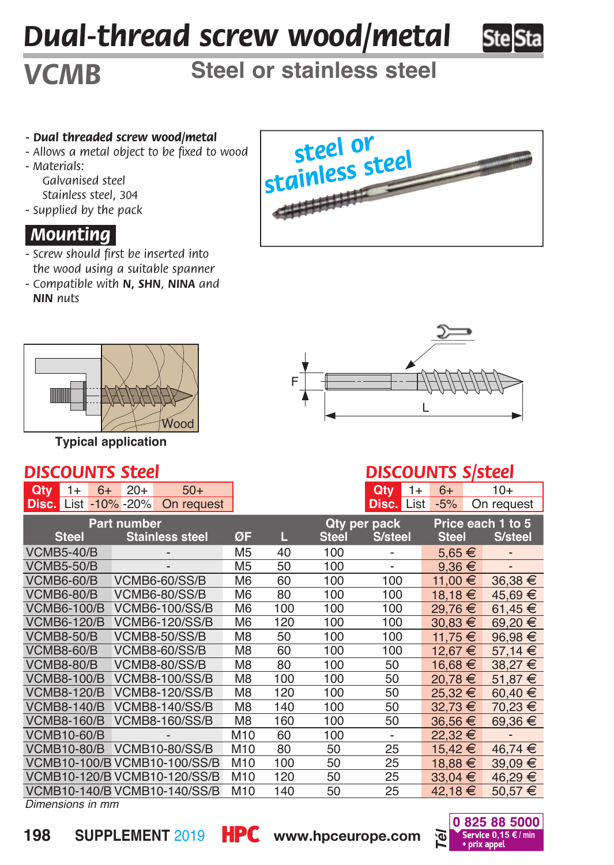# *Dual-thread screw wood/metal*



# **Steel or stainless steel**

#### *- Dual threaded screw wood/metal*

- *Allows a metal object to be fixed to wood*
- *Materials:*

*VCMB*

*Galvanised steel Stainless steel, 304*

*- Supplied by the pack*

## *.Mounting.*

- *Screw should first be inserted into the wood using a suitable spanner*
- *Compatible with N, SHN, NINA and NIN nuts*



**Typical application**

#### *DISCOUNTS Steel*

|  |  | <b>Qty</b> $1+ 6+ 20+ 50+$               |
|--|--|------------------------------------------|
|  |  | $\text{Disc.}$ List -10% -20% On request |





### *DISCOUNTS S/steel*

| Qty                                | $1+$                               | $6+$ | $20+$                       | $50+$                        |                |                          |                          | Qtv<br>$1+$              | $6+$              |             | 10+         |
|------------------------------------|------------------------------------|------|-----------------------------|------------------------------|----------------|--------------------------|--------------------------|--------------------------|-------------------|-------------|-------------|
|                                    |                                    |      | <b>Disc.</b> List -10% -20% | On request                   |                |                          |                          | <b>Disc. List</b>        | $-5%$             |             | On request  |
| <b>Part number</b>                 |                                    |      |                             |                              |                | Qty per pack             |                          |                          | Price each 1 to 5 |             |             |
|                                    | <b>Steel</b>                       |      |                             | <b>Stainless steel</b>       | ØF             | Ц                        | <b>Steel</b>             | S/steel                  | <b>Steel</b>      |             | S/steel     |
| <b>VCMB5-40/B</b>                  |                                    |      |                             | M5                           | 40             | 100                      | $\overline{\phantom{a}}$ |                          | $5,65 \in$        |             |             |
| <b>VCMB5-50/B</b>                  |                                    |      | M5                          | 50                           | 100            | $\overline{\phantom{a}}$ | $9.36 \in$               |                          |                   |             |             |
| <b>VCMB6-60/B</b><br>VCMB6-60/SS/B |                                    |      | M <sub>6</sub>              | 60                           | 100            | 100                      | 11.00 €                  |                          | 36.38 €           |             |             |
|                                    | <b>VCMB6-80/B</b><br>VCMB6-80/SS/B |      | M <sub>6</sub>              | 80                           | 100            | 100                      | $18.18 \in$              |                          | 45.69 €           |             |             |
| <b>VCMB6-100/B</b>                 |                                    |      |                             | <b>VCMB6-100/SS/B</b>        | M <sub>6</sub> | 100                      | 100                      | 100                      | 29,76 €           |             | 61,45 $€$   |
| <b>VCMB6-120/B</b>                 |                                    |      |                             | <b>VCMB6-120/SS/B</b>        | M <sub>6</sub> | 120                      | 100                      | 100                      | $30.83 \in$       |             | 69.20 €     |
| <b>VCMB8-50/B</b>                  |                                    |      |                             | <b>VCMB8-50/SS/B</b>         | M8             | 50                       | 100                      | 100                      | 11.75 €           |             | 96,98€      |
| <b>VCMB8-60/B</b>                  |                                    |      | <b>VCMB8-60/SS/B</b>        |                              | M8             | 60                       | 100                      | 100                      | 12.67 €           |             | $57.14 \in$ |
| <b>VCMB8-80/B</b>                  |                                    |      |                             | <b>VCMB8-80/SS/B</b>         | M8             | 80                       | 100                      | 50                       | 16.68 €           |             | $38.27 \in$ |
| <b>VCMB8-100/B</b>                 |                                    |      | <b>VCMB8-100/SS/B</b>       |                              | M8             | 100                      | 100                      | 50                       | 20.78 €           |             | 51.87 $€$   |
| <b>VCMB8-120/B</b>                 |                                    |      | <b>VCMB8-120/SS/B</b>       |                              | M <sub>8</sub> | 120                      | 100                      | 50                       | 25.32 €           |             | 60.40 $€$   |
| <b>VCMB8-140/B</b>                 |                                    |      |                             | <b>VCMB8-140/SS/B</b>        | M <sub>8</sub> | 140                      | 100                      | 50                       | 32.73 €           |             | 70.23 €     |
| <b>VCMB8-160/B</b>                 |                                    |      |                             | <b>VCMB8-160/SS/B</b>        | M8             | 160                      | 100                      | 50                       | 36.56 €           |             | $69.36 \in$ |
| <b>VCMB10-60/B</b>                 |                                    |      |                             |                              | M10            | 60                       | 100                      | $\overline{\phantom{0}}$ | 22.32 €           |             |             |
| <b>VCMB10-80/B</b>                 |                                    |      |                             | <b>VCMB10-80/SS/B</b>        | M10            | 80                       | 50                       | 25                       | 15,42 €           |             | 46.74 €     |
| VCMB10-100/B VCMB10-100/SS/B       |                                    |      |                             | M10                          | 100            | 50                       | 25                       | 18.88 €                  |                   | $39,09 \in$ |             |
|                                    |                                    |      |                             | VCMB10-120/B VCMB10-120/SS/B | M10            | 120                      | 50                       | 25                       | $33.04 \t∈$       |             | 46,29 €     |
|                                    |                                    |      |                             | VCMB10-140/B VCMB10-140/SS/B | M10            | 140                      | 50                       | 25                       | 42,18 €           |             | $50,57 \in$ |
| Dimensions in mm                   |                                    |      |                             |                              |                |                          |                          |                          |                   |             |             |